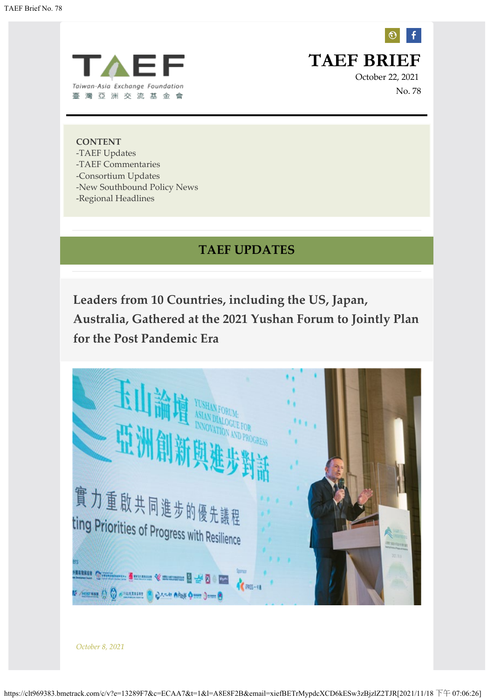<span id="page-0-0"></span>

**TAEF BRIEF**

October 22, 2021 No. 78

**CONTENT** -TAEF Updates -TAEF Commentaries -Consortium Updates -New Southbound Policy News -Regional Headlines

# **TAEF UPDATES**

**Leaders from 10 Countries, including the US, Japan, Australia, Gathered at the 2021 Yushan Forum to Jointly Plan for the Post Pandemic Era** 

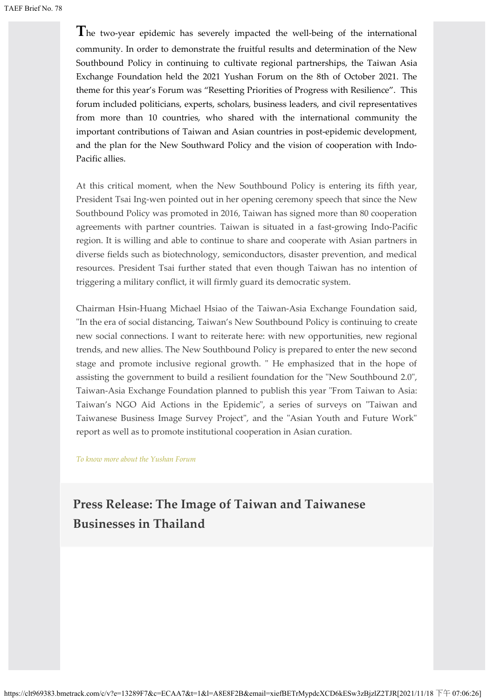**T**he two-year epidemic has severely impacted the well-being of the international community. In order to demonstrate the fruitful results and determination of the New Southbound Policy in continuing to cultivate regional partnerships, the Taiwan Asia Exchange Foundation held the 2021 Yushan Forum on the 8th of October 2021. The theme for this year's Forum was "Resetting Priorities of Progress with Resilience". This forum included politicians, experts, scholars, business leaders, and civil representatives from more than 10 countries, who shared with the international community the important contributions of Taiwan and Asian countries in post-epidemic development, and the plan for the New Southward Policy and the vision of cooperation with Indo-Pacific allies.

At this critical moment, when the New Southbound Policy is entering its fifth year, President Tsai Ing-wen pointed out in her opening ceremony speech that since the New Southbound Policy was promoted in 2016, Taiwan has signed more than 80 cooperation agreements with partner countries. Taiwan is situated in a fast-growing Indo-Pacific region. It is willing and able to continue to share and cooperate with Asian partners in diverse fields such as biotechnology, semiconductors, disaster prevention, and medical resources. President Tsai further stated that even though Taiwan has no intention of triggering a military conflict, it will firmly guard its democratic system.

Chairman Hsin-Huang Michael Hsiao of the Taiwan-Asia Exchange Foundation said, "In the era of social distancing, Taiwan's New Southbound Policy is continuing to create new social connections. I want to reiterate here: with new opportunities, new regional trends, and new allies. The New Southbound Policy is prepared to enter the new second stage and promote inclusive regional growth. " He emphasized that in the hope of assisting the government to build a resilient foundation for the "New Southbound 2.0", Taiwan-Asia Exchange Foundation planned to publish this year "From Taiwan to Asia: Taiwan's NGO Aid Actions in the Epidemic", a series of surveys on "Taiwan and Taiwanese Business Image Survey Project", and the "Asian Youth and Future Work" report as well as to promote institutional cooperation in Asian curation.

*[To know more about the Yushan Forum](https://clt969383.bmetrack.com/c/l?u=CF7DD54&e=13289F7&c=ECAA7&t=1&l=A8E8F2B&email=xiefBETrMypdcXCD6kESw3zBjzlZ2TJR&seq=1)*

# **Press Release: The Image of Taiwan and Taiwanese Businesses in Thailand**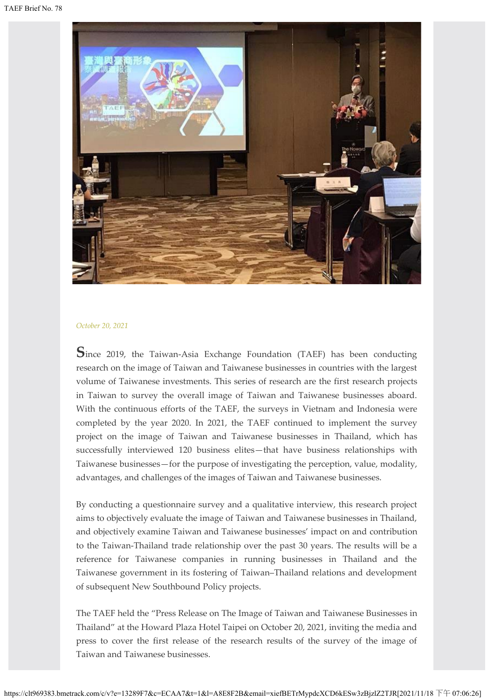

#### *October 20, 2021*

**S**ince 2019, the Taiwan-Asia Exchange Foundation (TAEF) has been conducting research on the image of Taiwan and Taiwanese businesses in countries with the largest volume of Taiwanese investments. This series of research are the first research projects in Taiwan to survey the overall image of Taiwan and Taiwanese businesses aboard. With the continuous efforts of the TAEF, the surveys in Vietnam and Indonesia were completed by the year 2020. In 2021, the TAEF continued to implement the survey project on the image of Taiwan and Taiwanese businesses in Thailand, which has successfully interviewed 120 business elites—that have business relationships with Taiwanese businesses—for the purpose of investigating the perception, value, modality, advantages, and challenges of the images of Taiwan and Taiwanese businesses.

By conducting a questionnaire survey and a qualitative interview, this research project aims to objectively evaluate the image of Taiwan and Taiwanese businesses in Thailand, and objectively examine Taiwan and Taiwanese businesses' impact on and contribution to the Taiwan-Thailand trade relationship over the past 30 years. The results will be a reference for Taiwanese companies in running businesses in Thailand and the Taiwanese government in its fostering of Taiwan–Thailand relations and development of subsequent New Southbound Policy projects.

The TAEF held the "Press Release on The Image of Taiwan and Taiwanese Businesses in Thailand" at the Howard Plaza Hotel Taipei on October 20, 2021, inviting the media and press to cover the first release of the research results of the survey of the image of Taiwan and Taiwanese businesses.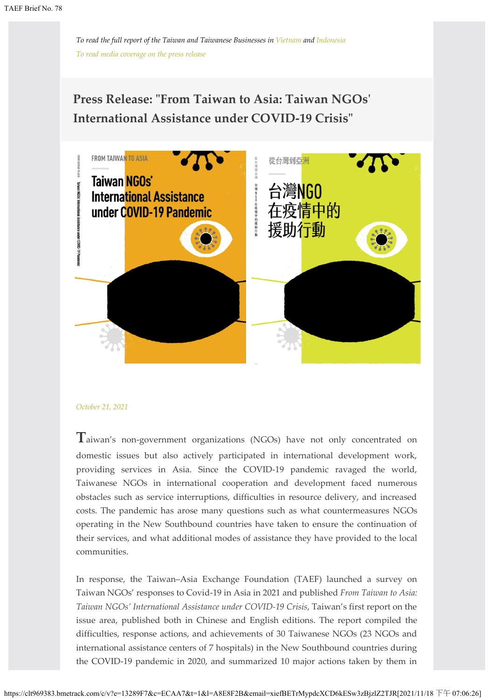# **Press Release: "From Taiwan to Asia: Taiwan NGOs' International Assistance under COVID-19 Crisis"**



#### *October 21, 2021*

**T**aiwan's non-government organizations (NGOs) have not only concentrated on domestic issues but also actively participated in international development work, providing services in Asia. Since the COVID-19 pandemic ravaged the world, Taiwanese NGOs in international cooperation and development faced numerous obstacles such as service interruptions, difficulties in resource delivery, and increased costs. The pandemic has arose many questions such as what countermeasures NGOs operating in the New Southbound countries have taken to ensure the continuation of their services, and what additional modes of assistance they have provided to the local communities.

In response, the Taiwan–Asia Exchange Foundation (TAEF) launched a survey on Taiwan NGOs' responses to Covid-19 in Asia in 2021 and published *From Taiwan to Asia: Taiwan NGOs' International Assistance under COVID-19 Crisis*, Taiwan's first report on the issue area, published both in Chinese and English editions. The report compiled the difficulties, response actions, and achievements of 30 Taiwanese NGOs (23 NGOs and international assistance centers of 7 hospitals) in the New Southbound countries during the COVID-19 pandemic in 2020, and summarized 10 major actions taken by them in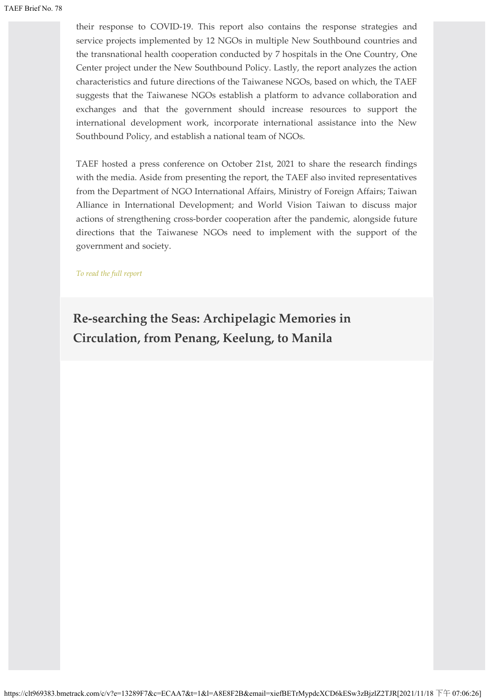their response to COVID-19. This report also contains the response strategies and service projects implemented by 12 NGOs in multiple New Southbound countries and the transnational health cooperation conducted by 7 hospitals in the One Country, One Center project under the New Southbound Policy. Lastly, the report analyzes the action characteristics and future directions of the Taiwanese NGOs, based on which, the TAEF suggests that the Taiwanese NGOs establish a platform to advance collaboration and exchanges and that the government should increase resources to support the international development work, incorporate international assistance into the New Southbound Policy, and establish a national team of NGOs.

TAEF hosted a press conference on October 21st, 2021 to share the research findings with the media. Aside from presenting the report, the TAEF also invited representatives from the Department of NGO International Affairs, Ministry of Foreign Affairs; Taiwan Alliance in International Development; and World Vision Taiwan to discuss major actions of strengthening cross-border cooperation after the pandemic, alongside future directions that the Taiwanese NGOs need to implement with the support of the government and society.

#### *[To read the full report](https://clt969383.bmetrack.com/c/l?u=CF7DD58&e=13289F7&c=ECAA7&t=1&l=A8E8F2B&email=xiefBETrMypdcXCD6kESw3zBjzlZ2TJR&seq=1)*

**Re-searching the Seas: Archipelagic Memories in Circulation, from Penang, Keelung, to Manila**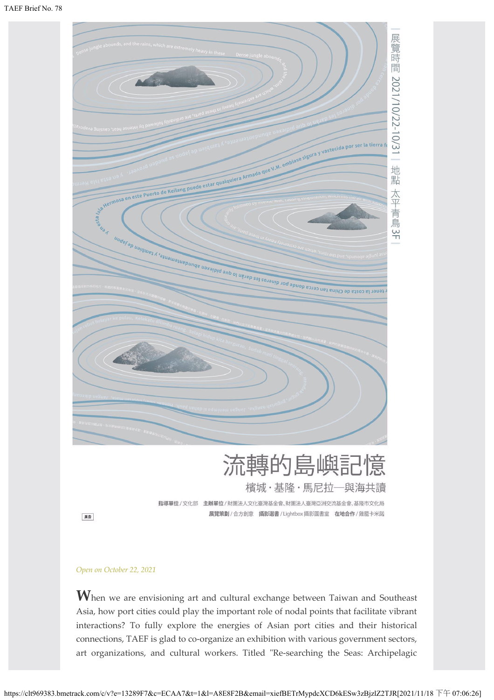

檳城・基隆・馬尼拉一與海共讀

指導單位/文化部 主辦單位/財團法人文化臺灣基金會、財團法人臺灣亞洲交流基金會、基隆市文化局 展覽策劃/合方創意 攝影選書/Lightbox 攝影圖書室 在地合作/雞籠卡米諾

廣告

#### *Open on October 22, 2021*

**W**hen we are envisioning art and cultural exchange between Taiwan and Southeast Asia, how port cities could play the important role of nodal points that facilitate vibrant interactions? To fully explore the energies of Asian port cities and their historical connections, TAEF is glad to co-organize an exhibition with various government sectors, art organizations, and cultural workers. Titled "Re-searching the Seas: Archipelagic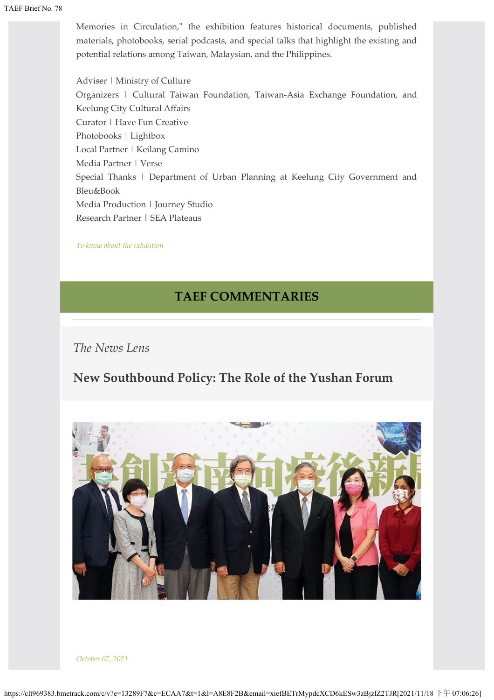Memories in Circulation," the exhibition features historical documents, published materials, photobooks, serial podcasts, and special talks that highlight the existing and potential relations among Taiwan, Malaysian, and the Philippines.

Adviser | Ministry of Culture Organizers | Cultural Taiwan Foundation, Taiwan-Asia Exchange Foundation, and Keelung City Cultural Affairs Curator | Have Fun Creative Photobooks | Lightbox Local Partner | Keilang Camino Media Partner | Verse Special Thanks | Department of Urban Planning at Keelung City Government and Bleu&Book Media Production | Journey Studio Research Partner | SEA Plateaus

*[To know about the exhibition](https://clt969383.bmetrack.com/c/l?u=CF7DD59&e=13289F7&c=ECAA7&t=1&l=A8E8F2B&email=xiefBETrMypdcXCD6kESw3zBjzlZ2TJR&seq=1)*

## **TAEF COMMENTARIES**

## *The News Lens*

# **New Southbound Policy: The Role of the Yushan Forum**

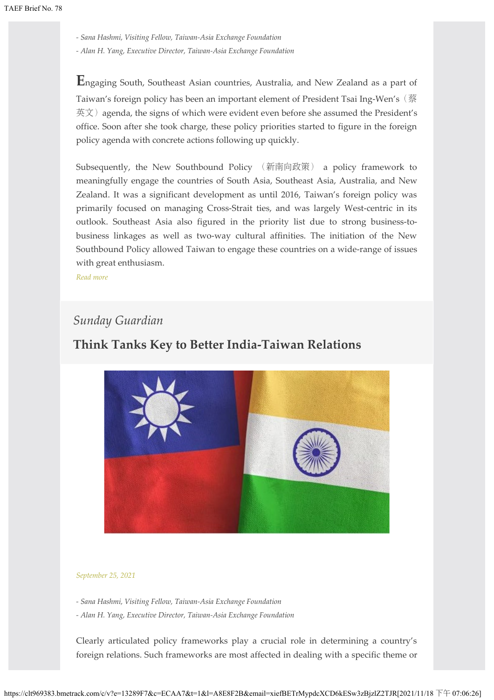*- Sana Hashmi, Visiting Fellow, Taiwan-Asia Exchange Foundation*

*- Alan H. Yang, Executive Director, Taiwan-Asia Exchange Foundation*

**E**ngaging South, Southeast Asian countries, Australia, and New Zealand as a part of Taiwan's foreign policy has been an important element of President Tsai Ing-Wen's(蔡 英文) agenda, the signs of which were evident even before she assumed the President's office. Soon after she took charge, these policy priorities started to figure in the foreign policy agenda with concrete actions following up quickly.

Subsequently, the New Southbound Policy (新南向政策) a policy framework to meaningfully engage the countries of South Asia, Southeast Asia, Australia, and New Zealand. It was a significant development as until 2016, Taiwan's foreign policy was primarily focused on managing Cross-Strait ties, and was largely West-centric in its outlook. Southeast Asia also figured in the priority list due to strong business-tobusiness linkages as well as two-way cultural affinities. The initiation of the New Southbound Policy allowed Taiwan to engage these countries on a wide-range of issues with great enthusiasm.

*[Read more](https://clt969383.bmetrack.com/c/l?u=CF7DD5A&e=13289F7&c=ECAA7&t=1&l=A8E8F2B&email=xiefBETrMypdcXCD6kESw3zBjzlZ2TJR&seq=1)*

## *Sunday Guardian*

# **Think Tanks Key to Better India-Taiwan Relations**



#### *September 25, 2021*

*- Sana Hashmi, Visiting Fellow, Taiwan-Asia Exchange Foundation*

*- Alan H. Yang, Executive Director, Taiwan-Asia Exchange Foundation*

Clearly articulated policy frameworks play a crucial role in determining a country's foreign relations. Such frameworks are most affected in dealing with a specific theme or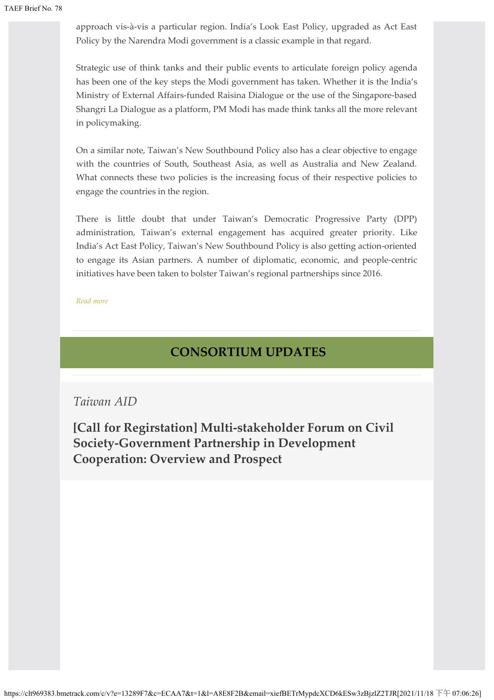approach vis-à-vis a particular region. India's Look East Policy, upgraded as Act East Policy by the Narendra Modi government is a classic example in that regard.

Strategic use of think tanks and their public events to articulate foreign policy agenda has been one of the key steps the Modi government has taken. Whether it is the India's Ministry of External Affairs-funded Raisina Dialogue or the use of the Singapore-based Shangri La Dialogue as a platform, PM Modi has made think tanks all the more relevant in policymaking.

On a similar note, Taiwan's New Southbound Policy also has a clear objective to engage with the countries of South, Southeast Asia, as well as Australia and New Zealand. What connects these two policies is the increasing focus of their respective policies to engage the countries in the region.

There is little doubt that under Taiwan's Democratic Progressive Party (DPP) administration, Taiwan's external engagement has acquired greater priority. Like India's Act East Policy, Taiwan's New Southbound Policy is also getting action-oriented to engage its Asian partners. A number of diplomatic, economic, and people-centric initiatives have been taken to bolster Taiwan's regional partnerships since 2016.

#### *[Read more](https://clt969383.bmetrack.com/c/l?u=CF7DD5B&e=13289F7&c=ECAA7&t=1&l=A8E8F2B&email=xiefBETrMypdcXCD6kESw3zBjzlZ2TJR&seq=1)*

# **CONSORTIUM UPDATES**

## *Taiwan AID*

**[Call for Regirstation] Multi-stakeholder Forum on Civil Society-Government Partnership in Development Cooperation: Overview and Prospect**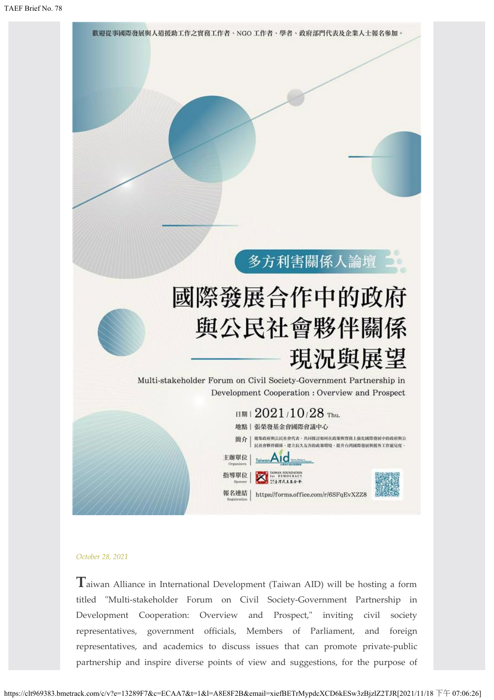歡迎從事國際發展與人道援助工作之實務工作者、NGO 工作者、學者、政府部門代表及企業人士報名參加。

# 多方利害關係人論壇

# 國際發展合作中的政府 與公民社會夥伴關係 現況與展望

Multi-stakeholder Forum on Civil Society-Government Partnership in Development Cooperation: Overview and Prospect

> 日期  $12021/10/28$  Thu. 地點|張榮發基金會國際會議中心 微集政府與公民社會代表,共同探討如何在政策與實務上強化國際發展中的政府與公 簡介 民社會夥伴關係、建立長久友善的政策環境、提升台灣國際發展與提外工作能見度。 主辦單位 指導單位 \*\*\*\*\*\*\*\*\* 報名連結 https://forms.office.com/r/6SFqEvXZZ8

#### *October 28, 2021*

**T**aiwan Alliance in International Development (Taiwan AID) will be hosting a form titled "Multi-stakeholder Forum on Civil Society-Government Partnership in Development Cooperation: Overview and Prospect," inviting civil society representatives, government officials, Members of Parliament, and foreign representatives, and academics to discuss issues that can promote private-public partnership and inspire diverse points of view and suggestions, for the purpose of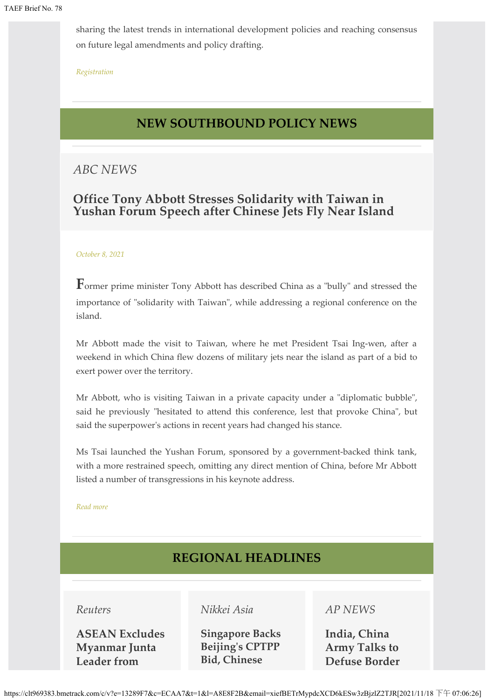sharing the latest trends in international development policies and reaching consensus on future legal amendments and policy drafting.

#### *[Registration](https://clt969383.bmetrack.com/c/l?u=CF7DD5C&e=13289F7&c=ECAA7&t=1&l=A8E8F2B&email=xiefBETrMypdcXCD6kESw3zBjzlZ2TJR&seq=1)*

## **NEW SOUTHBOUND POLICY NEWS**

## *ABC NEWS*

## **Office Tony Abbott Stresses Solidarity with Taiwan in Yushan Forum Speech after Chinese Jets Fly Near Island**

#### *October 8, 2021*

**F**ormer prime minister Tony Abbott has described China as a "bully" and stressed the importance of "solidarity with Taiwan", while addressing a regional conference on the island.

Mr Abbott made the visit to Taiwan, where he met President Tsai Ing-wen, after a weekend in which China flew dozens of military jets near the island as part of a bid to exert power over the territory.

Mr Abbott, who is visiting Taiwan in a private capacity under a "diplomatic bubble", said he previously "hesitated to attend this conference, lest that provoke China", but said the superpower's actions in recent years had changed his stance.

Ms Tsai launched the Yushan Forum, sponsored by a government-backed think tank, with a more restrained speech, omitting any direct mention of China, before Mr Abbott listed a number of transgressions in his keynote address.

*[Read more](https://clt969383.bmetrack.com/c/l?u=CF14430&e=13289F7&c=ECAA7&t=1&l=A8E8F2B&email=xiefBETrMypdcXCD6kESw3zBjzlZ2TJR&seq=1)*

## **REGIONAL HEADLINES**

### *Reuters*

**ASEAN Excludes Myanmar Junta Leader from**

*Nikkei Asia*

**Singapore Backs Beijing's CPTPP Bid, Chinese**

*AP NEWS*

**India, China Army Talks to Defuse Border**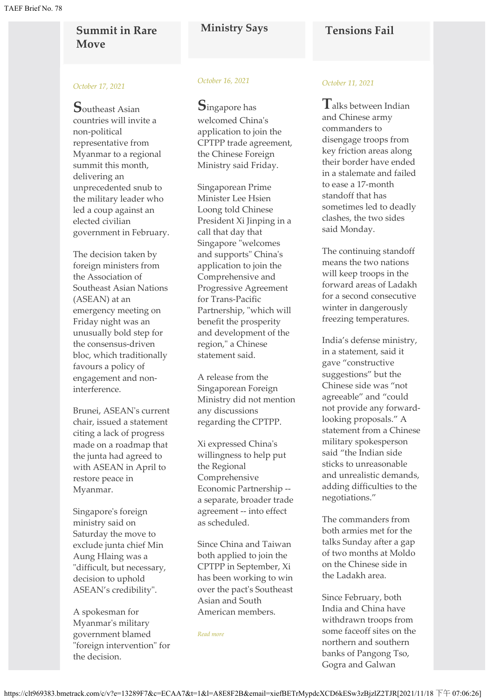## **Summit in Rare Move**

#### *October 17, 2021*

**S**outheast Asian countries will invite a non-political representative from Myanmar to a regional summit this month, delivering an unprecedented snub to the military leader who led a coup against an elected civilian government in February.

The decision taken by foreign ministers from the Association of Southeast Asian Nations (ASEAN) at an emergency meeting on Friday night was an unusually bold step for the consensus-driven bloc, which traditionally favours a policy of engagement and noninterference.

Brunei, ASEAN's current chair, issued a statement citing a lack of progress made on a roadmap that the junta had agreed to with ASEAN in April to restore peace in Myanmar.

Singapore's foreign ministry said on Saturday the move to exclude junta chief Min Aung Hlaing was a "difficult, but necessary, decision to uphold ASEAN's credibility".

A spokesman for Myanmar's military government blamed "foreign intervention" for the decision.

## **Ministry Says**

#### *October 16, 2021*

**S**ingapore has welcomed China's application to join the CPTPP trade agreement, the Chinese Foreign Ministry said Friday.

Singaporean Prime Minister Lee Hsien Loong told Chinese President Xi Jinping in a call that day that Singapore "welcomes and supports" China's application to join the Comprehensive and Progressive Agreement for Trans-Pacific Partnership, "which will benefit the prosperity and development of the region," a Chinese statement said.

A release from the Singaporean Foreign Ministry did not mention any discussions regarding the CPTPP.

Xi expressed China's willingness to help put the Regional Comprehensive Economic Partnership - a separate, broader trade agreement -- into effect as scheduled.

Since China and Taiwan both applied to join the CPTPP in September, Xi has been working to win over the pact's Southeast Asian and South American members.

*[Read more](https://clt969383.bmetrack.com/c/l?u=CF7DD5E&e=13289F7&c=ECAA7&t=1&l=A8E8F2B&email=xiefBETrMypdcXCD6kESw3zBjzlZ2TJR&seq=3)*

## **Tensions Fail**

#### *October 11, 2021*

**T**alks between Indian and Chinese army commanders to disengage troops from key friction areas along their border have ended in a stalemate and failed to ease a 17-month standoff that has sometimes led to deadly clashes, the two sides said Monday.

The continuing standoff means the two nations will keep troops in the forward areas of Ladakh for a second consecutive winter in dangerously freezing temperatures.

India's defense ministry, in a statement, said it gave "constructive suggestions" but the Chinese side was "not agreeable" and "could not provide any forwardlooking proposals." A statement from a Chinese military spokesperson said "the Indian side sticks to unreasonable and unrealistic demands, adding difficulties to the negotiations."

The commanders from both armies met for the talks Sunday after a gap of two months at Moldo on the Chinese side in the Ladakh area.

Since February, both India and China have withdrawn troops from some faceoff sites on the northern and southern banks of Pangong Tso, Gogra and Galwan